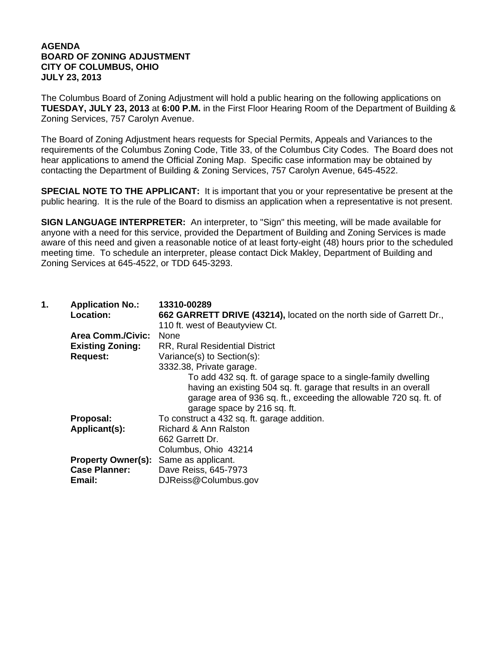## **AGENDA BOARD OF ZONING ADJUSTMENT CITY OF COLUMBUS, OHIO JULY 23, 2013**

The Columbus Board of Zoning Adjustment will hold a public hearing on the following applications on **TUESDAY, JULY 23, 2013** at **6:00 P.M.** in the First Floor Hearing Room of the Department of Building & Zoning Services, 757 Carolyn Avenue.

The Board of Zoning Adjustment hears requests for Special Permits, Appeals and Variances to the requirements of the Columbus Zoning Code, Title 33, of the Columbus City Codes. The Board does not hear applications to amend the Official Zoning Map. Specific case information may be obtained by contacting the Department of Building & Zoning Services, 757 Carolyn Avenue, 645-4522.

**SPECIAL NOTE TO THE APPLICANT:** It is important that you or your representative be present at the public hearing. It is the rule of the Board to dismiss an application when a representative is not present.

**SIGN LANGUAGE INTERPRETER:** An interpreter, to "Sign" this meeting, will be made available for anyone with a need for this service, provided the Department of Building and Zoning Services is made aware of this need and given a reasonable notice of at least forty-eight (48) hours prior to the scheduled meeting time. To schedule an interpreter, please contact Dick Makley, Department of Building and Zoning Services at 645-4522, or TDD 645-3293.

| 1. | <b>Application No.:</b><br>Location: | 13310-00289<br>662 GARRETT DRIVE (43214), located on the north side of Garrett Dr.,<br>110 ft. west of Beautyview Ct. |
|----|--------------------------------------|-----------------------------------------------------------------------------------------------------------------------|
|    | <b>Area Comm./Civic:</b>             | <b>None</b>                                                                                                           |
|    | <b>Existing Zoning:</b>              | <b>RR, Rural Residential District</b>                                                                                 |
|    | <b>Request:</b>                      | Variance(s) to Section(s):                                                                                            |
|    |                                      | 3332.38, Private garage.                                                                                              |
|    |                                      | To add 432 sq. ft. of garage space to a single-family dwelling                                                        |
|    |                                      | having an existing 504 sq. ft. garage that results in an overall                                                      |
|    |                                      | garage area of 936 sq. ft., exceeding the allowable 720 sq. ft. of                                                    |
|    |                                      | garage space by 216 sq. ft.                                                                                           |
|    | Proposal:                            | To construct a 432 sq. ft. garage addition.                                                                           |
|    | Applicant(s):                        | Richard & Ann Ralston                                                                                                 |
|    |                                      | 662 Garrett Dr.                                                                                                       |
|    |                                      | Columbus, Ohio 43214                                                                                                  |
|    | <b>Property Owner(s):</b>            | Same as applicant.                                                                                                    |
|    | <b>Case Planner:</b>                 | Dave Reiss, 645-7973                                                                                                  |
|    | Email:                               | DJReiss@Columbus.gov                                                                                                  |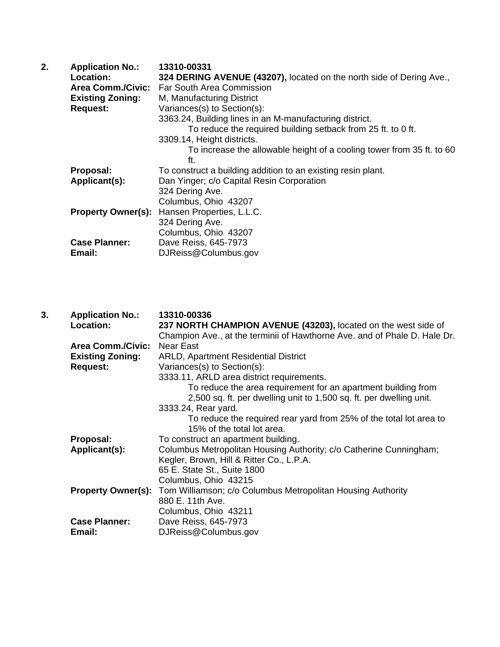| 2. | <b>Application No.:</b>   | 13310-00331                                                           |
|----|---------------------------|-----------------------------------------------------------------------|
|    | <b>Location:</b>          | 324 DERING AVENUE (43207), located on the north side of Dering Ave.,  |
|    |                           | Area Comm./Civic: Far South Area Commission                           |
|    | <b>Existing Zoning:</b>   | M, Manufacturing District                                             |
|    | <b>Request:</b>           | Variances(s) to Section(s):                                           |
|    |                           | 3363.24, Building lines in an M-manufacturing district.               |
|    |                           | To reduce the required building setback from 25 ft. to 0 ft.          |
|    |                           | 3309.14, Height districts.                                            |
|    |                           | To increase the allowable height of a cooling tower from 35 ft. to 60 |
|    |                           | ft.                                                                   |
|    | Proposal:                 | To construct a building addition to an existing resin plant.          |
|    | Applicant(s):             | Dan Yinger; c/o Capital Resin Corporation                             |
|    |                           | 324 Dering Ave.                                                       |
|    |                           | Columbus, Ohio 43207                                                  |
|    | <b>Property Owner(s):</b> | Hansen Properties, L.L.C.                                             |
|    |                           | 324 Dering Ave.                                                       |
|    |                           | Columbus, Ohio 43207                                                  |
|    | <b>Case Planner:</b>      | Dave Reiss, 645-7973                                                  |
|    | Email:                    | DJReiss@Columbus.gov                                                  |
|    |                           |                                                                       |

| 3. | <b>Application No.:</b>  | 13310-00336                                                                           |
|----|--------------------------|---------------------------------------------------------------------------------------|
|    | Location:                | 237 NORTH CHAMPION AVENUE (43203), located on the west side of                        |
|    |                          | Champion Ave., at the terminii of Hawthorne Ave. and of Phale D. Hale Dr.             |
|    | <b>Area Comm./Civic:</b> | Near East                                                                             |
|    | <b>Existing Zoning:</b>  | <b>ARLD, Apartment Residential District</b>                                           |
|    | <b>Request:</b>          | Variances(s) to Section(s):                                                           |
|    |                          | 3333.11, ARLD area district requirements.                                             |
|    |                          | To reduce the area requirement for an apartment building from                         |
|    |                          | 2,500 sq. ft. per dwelling unit to 1,500 sq. ft. per dwelling unit.                   |
|    |                          | 3333.24, Rear yard.                                                                   |
|    |                          | To reduce the required rear yard from 25% of the total lot area to                    |
|    |                          | 15% of the total lot area.                                                            |
|    | Proposal:                | To construct an apartment building.                                                   |
|    | Applicant(s):            | Columbus Metropolitan Housing Authority; c/o Catherine Cunningham;                    |
|    |                          | Kegler, Brown, Hill & Ritter Co., L.P.A.                                              |
|    |                          | 65 E. State St., Suite 1800                                                           |
|    |                          | Columbus, Ohio 43215                                                                  |
|    |                          | <b>Property Owner(s):</b> Tom Williamson; c/o Columbus Metropolitan Housing Authority |
|    |                          | 880 E. 11th Ave.                                                                      |
|    |                          | Columbus, Ohio 43211                                                                  |
|    | <b>Case Planner:</b>     | Dave Reiss, 645-7973                                                                  |
|    | Email:                   | DJReiss@Columbus.gov                                                                  |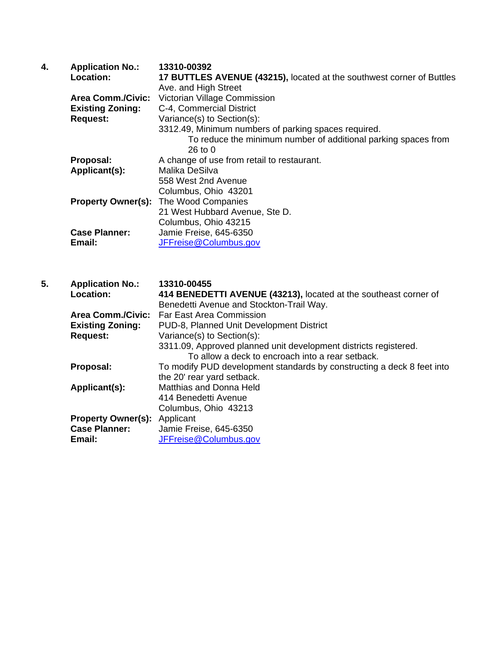| 4. | <b>Application No.:</b>   | 13310-00392                                                           |
|----|---------------------------|-----------------------------------------------------------------------|
|    | Location:                 | 17 BUTTLES AVENUE (43215), located at the southwest corner of Buttles |
|    |                           | Ave. and High Street                                                  |
|    | <b>Area Comm./Civic:</b>  | Victorian Village Commission                                          |
|    | <b>Existing Zoning:</b>   | C-4, Commercial District                                              |
|    | <b>Request:</b>           | Variance(s) to Section(s):                                            |
|    |                           | 3312.49, Minimum numbers of parking spaces required.                  |
|    |                           | To reduce the minimum number of additional parking spaces from        |
|    |                           | 26 to $\Omega$                                                        |
|    | Proposal:                 | A change of use from retail to restaurant.                            |
|    | Applicant(s):             | Malika DeSilva                                                        |
|    |                           | 558 West 2nd Avenue                                                   |
|    |                           | Columbus, Ohio 43201                                                  |
|    | <b>Property Owner(s):</b> | The Wood Companies                                                    |
|    |                           | 21 West Hubbard Avenue, Ste D.                                        |
|    |                           | Columbus, Ohio 43215                                                  |
|    | <b>Case Planner:</b>      | Jamie Freise, 645-6350                                                |
|    | Email:                    | JFFreise@Columbus.gov                                                 |

| 5. | <b>Application No.:</b>             | 13310-00455                                                            |
|----|-------------------------------------|------------------------------------------------------------------------|
|    | Location:                           | 414 BENEDETTI AVENUE (43213), located at the southeast corner of       |
|    |                                     | Benedetti Avenue and Stockton-Trail Way.                               |
|    | <b>Area Comm./Civic:</b>            | <b>Far East Area Commission</b>                                        |
|    | <b>Existing Zoning:</b>             | PUD-8, Planned Unit Development District                               |
|    | <b>Request:</b>                     | Variance(s) to Section(s):                                             |
|    |                                     | 3311.09, Approved planned unit development districts registered.       |
|    |                                     | To allow a deck to encroach into a rear setback.                       |
|    | Proposal:                           | To modify PUD development standards by constructing a deck 8 feet into |
|    |                                     | the 20' rear yard setback.                                             |
|    | Applicant(s):                       | <b>Matthias and Donna Held</b>                                         |
|    |                                     | 414 Benedetti Avenue                                                   |
|    |                                     | Columbus, Ohio 43213                                                   |
|    | <b>Property Owner(s):</b> Applicant |                                                                        |
|    | <b>Case Planner:</b>                | Jamie Freise, 645-6350                                                 |
|    | Email:                              | JFFreise@Columbus.gov                                                  |